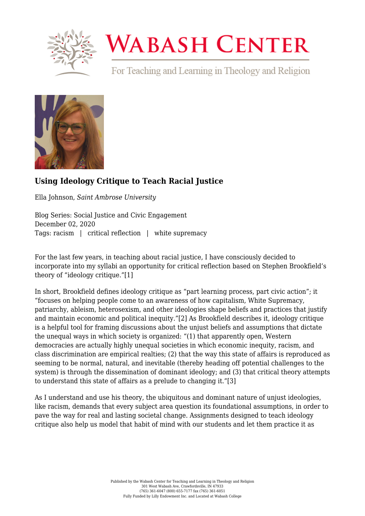

## **WABASH CENTER**

For Teaching and Learning in Theology and Religion



## **[Using Ideology Critique to Teach Racial Justice](https://www.wabashcenter.wabash.edu/2020/12/using-ideology-critique-to-teach-racial-justice/)**

Ella Johnson, *Saint Ambrose University*

Blog Series: Social Justice and Civic Engagement December 02, 2020 Tags: racism | critical reflection | white supremacy

For the last few years, in teaching about racial justice, I have consciously decided to incorporate into my syllabi an opportunity for critical reflection based on Stephen Brookfield's theory of "ideology critique.["\[1\]](#page-0-0)

<span id="page-0-1"></span><span id="page-0-0"></span>In short, Brookfield defines ideology critique as "part learning process, part civic action"; it "focuses on helping people come to an awareness of how capitalism, White Supremacy, patriarchy, ableism, heterosexism, and other ideologies shape beliefs and practices that justify and maintain economic and political inequity.["\[2\]](#page-2-0) As Brookfield describes it, ideology critique is a helpful tool for framing discussions about the unjust beliefs and assumptions that dictate the unequal ways in which society is organized: "(1) that apparently open, Western democracies are actually highly unequal societies in which economic inequity, racism, and class discrimination are empirical realties; (2) that the way this state of affairs is reproduced as seeming to be normal, natural, and inevitable (thereby heading off potential challenges to the system) is through the dissemination of dominant ideology; and (3) that critical theory attempts to understand this state of affairs as a prelude to changing it."[\[3\]](#page-2-1)

<span id="page-0-2"></span>As I understand and use his theory, the ubiquitous and dominant nature of unjust ideologies, like racism, demands that every subject area question its foundational assumptions, in order to pave the way for real and lasting societal change. Assignments designed to teach ideology critique also help us model that habit of mind with our students and let them practice it as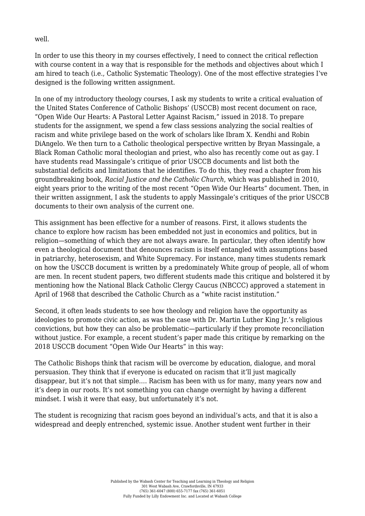well.

In order to use this theory in my courses effectively, I need to connect the critical reflection with course content in a way that is responsible for the methods and objectives about which I am hired to teach (i.e., Catholic Systematic Theology). One of the most effective strategies I've designed is the following written assignment.

In one of my introductory theology courses, I ask my students to write a critical evaluation of the United States Conference of Catholic Bishops' (USCCB) most recent document on race, "Open Wide Our Hearts: A Pastoral Letter Against Racism," issued in 2018. To prepare students for the assignment, we spend a few class sessions analyzing the social realties of racism and white privilege based on the work of scholars like Ibram X. Kendhi and Robin DiAngelo. We then turn to a Catholic theological perspective written by Bryan Massingale, a Black Roman Catholic moral theologian and priest, who also has recently come out as gay. I have students read Massingale's critique of prior USCCB documents and list both the substantial deficits and limitations that he identifies. To do this, they read a chapter from his groundbreaking book, *Racial Justice and the Catholic Church*, which was published in 2010, eight years prior to the writing of the most recent "Open Wide Our Hearts" document. Then, in their written assignment, I ask the students to apply Massingale's critiques of the prior USCCB documents to their own analysis of the current one.

This assignment has been effective for a number of reasons. First, it allows students the chance to explore how racism has been embedded not just in economics and politics, but in religion—something of which they are not always aware. In particular, they often identify how even a theological document that denounces racism is itself entangled with assumptions based in patriarchy, heterosexism, and White Supremacy. For instance, many times students remark on how the USCCB document is written by a predominately White group of people, all of whom are men. In recent student papers, two different students made this critique and bolstered it by mentioning how the National Black Catholic Clergy Caucus (NBCCC) approved a statement in April of 1968 that described the Catholic Church as a "white racist institution."

Second, it often leads students to see how theology and religion have the opportunity as ideologies to promote civic action, as was the case with Dr. Martin Luther King Jr.'s religious convictions, but how they can also be problematic—particularly if they promote reconciliation without justice. For example, a recent student's paper made this critique by remarking on the 2018 USCCB document "Open Wide Our Hearts" in this way:

The Catholic Bishops think that racism will be overcome by education, dialogue, and moral persuasion. They think that if everyone is educated on racism that it'll just magically disappear, but it's not that simple…. Racism has been with us for many, many years now and it's deep in our roots. It's not something you can change overnight by having a different mindset. I wish it were that easy, but unfortunately it's not.

The student is recognizing that racism goes beyond an individual's acts, and that it is also a widespread and deeply entrenched, systemic issue. Another student went further in their